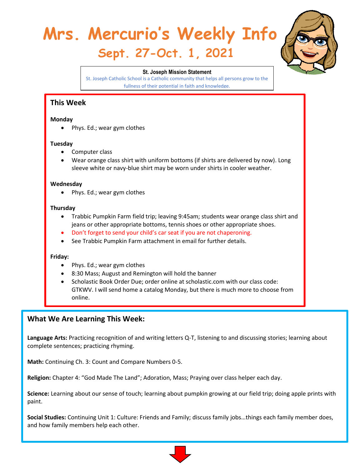# **Mrs. Mercurio's Weekly Info Sept. 27-Oct. 1, 2021**



#### **St. Joseph Mission Statement**

St. Joseph Catholic School is a Catholic community that helps all persons grow to the fullness of their potential in faith and knowledge.

## **This Week**

#### **Monday**

• Phys. Ed.; wear gym clothes

### **Tuesday**

- Computer class
- Wear orange class shirt with uniform bottoms (if shirts are delivered by now). Long sleeve white or navy-blue shirt may be worn under shirts in cooler weather.

#### **Wednesday**

• Phys. Ed.; wear gym clothes

#### **Thursday**

- Trabbic Pumpkin Farm field trip; leaving 9:45am; students wear orange class shirt and jeans or other appropriate bottoms, tennis shoes or other appropriate shoes.
- Don't forget to send your child's car seat if you are not chaperoning.
- See Trabbic Pumpkin Farm attachment in email for further details.

### **Friday:**

- Phys. Ed.; wear gym clothes
- 8:30 Mass; August and Remington will hold the banner
- Scholastic Book Order Due; order online at scholastic.com with our class code: GTKWV. I will send home a catalog Monday, but there is much more to choose from online.

## **What We Are Learning This Week:**

**Language Arts:** Practicing recognition of and writing letters Q-T, listening to and discussing stories; learning about complete sentences; practicing rhyming.

**Math:** Continuing Ch. 3: Count and Compare Numbers 0-5.

**Religion:** Chapter 4: "God Made The Land"; Adoration, Mass; Praying over class helper each day.

**Science:** Learning about our sense of touch; learning about pumpkin growing at our field trip; doing apple prints with paint.

**Social Studies:** Continuing Unit 1: Culture: Friends and Family; discuss family jobs…things each family member does, and how family members help each other.